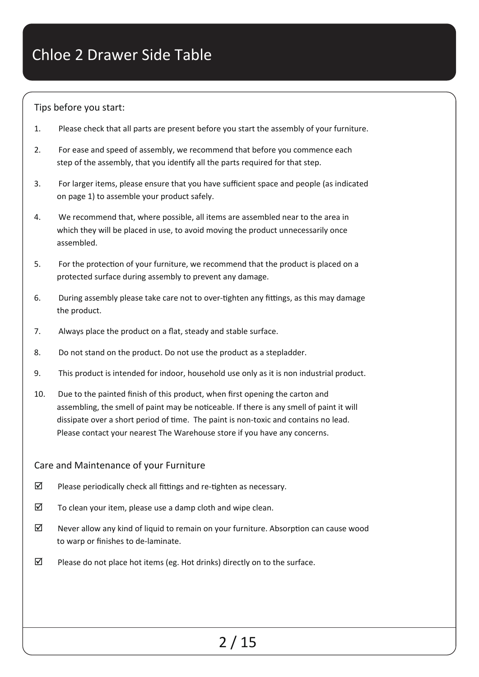### Tips before you start:

- 1. Please check that all parts are present before you start the assembly of your furniture.
- 2. For ease and speed of assembly, we recommend that before you commence each step of the assembly, that you identify all the parts required for that step.
- 3. For larger items, please ensure that you have sufficient space and people (as indicated on page 1) to assemble your product safely.
- 4. We recommend that, where possible, all items are assembled near to the area in which they will be placed in use, to avoid moving the product unnecessarily once assembled.
- 5. For the protection of your furniture, we recommend that the product is placed on a protected surface during assembly to prevent any damage.
- 6. During assembly please take care not to over-tighten any fittings, as this may damage the product.
- 7. Always place the product on a flat, steady and stable surface.
- 8. Do not stand on the product. Do not use the product as a stepladder.
- 9. This product is intended for indoor, household use only as it is non industrial product.
- 10. Due to the painted finish of this product, when first opening the carton and assembling, the smell of paint may be noticeable. If there is any smell of paint it will dissipate over a short period of time. The paint is non-toxic and contains no lead. Please contact your nearest The Warehouse store if you have any concerns.

### Care and Maintenance of your Furniture

- $\boxtimes$  Please periodically check all fittings and re-tighten as necessary.
- $\boxtimes$  To clean your item, please use a damp cloth and wipe clean.
- $\boxtimes$  Never allow any kind of liquid to remain on your furniture. Absorption can cause wood to warp or finishes to de-laminate.
- $\boxtimes$  Please do not place hot items (eg. Hot drinks) directly on to the surface.

## 2 / 15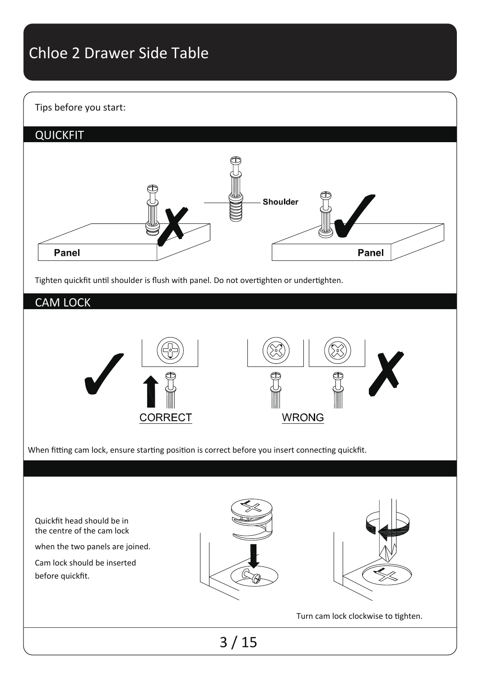### Tips before you start:



Tighten quickfit until shoulder is flush with panel. Do not overtighten or undertighten.

### CAM LOCK



When fitting cam lock, ensure starting position is correct before you insert connecting quickfit.

3 / 15 Quickfit head should be in the centre of the cam lock when the two panels are joined. Cam lock should be inserted before quickfit. Turn cam lock clockwise to tighten.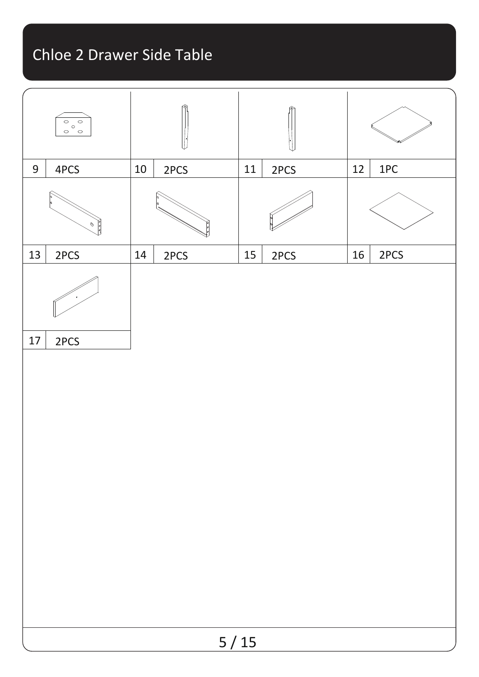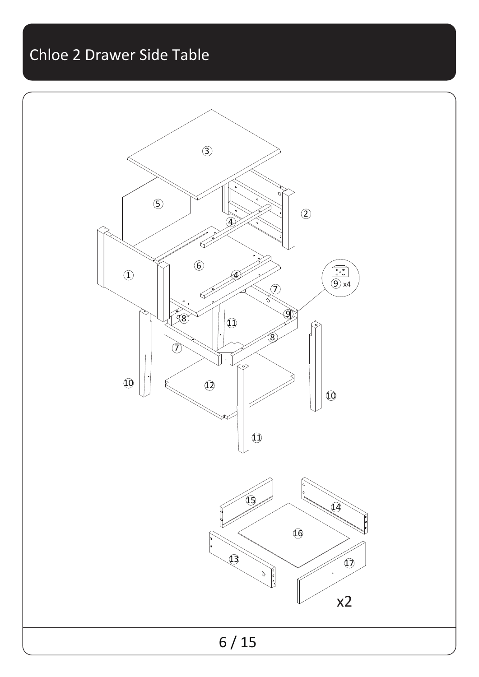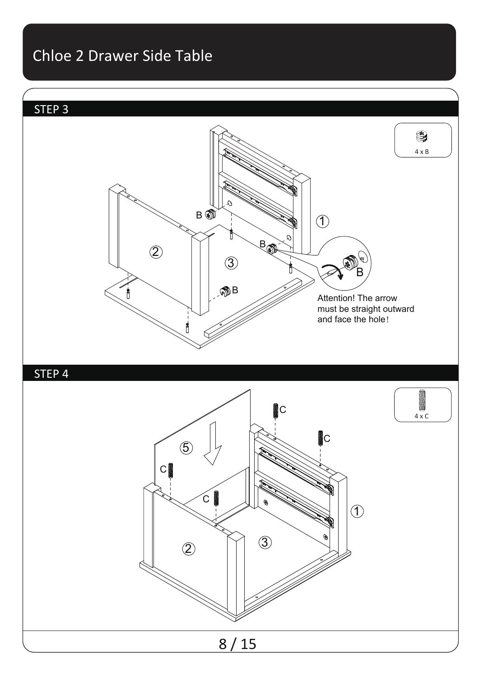

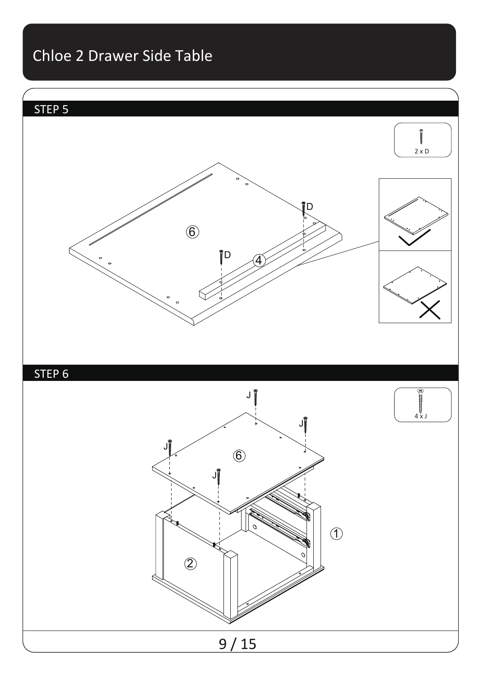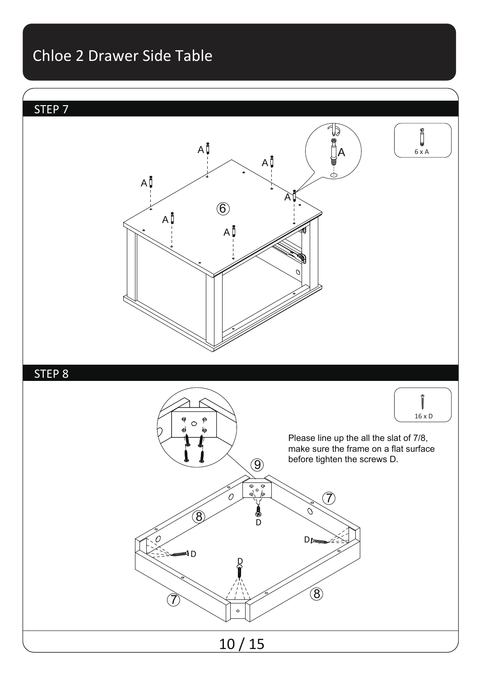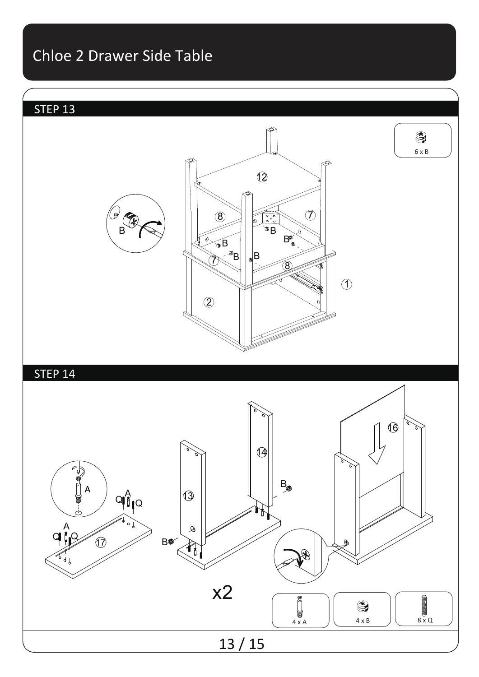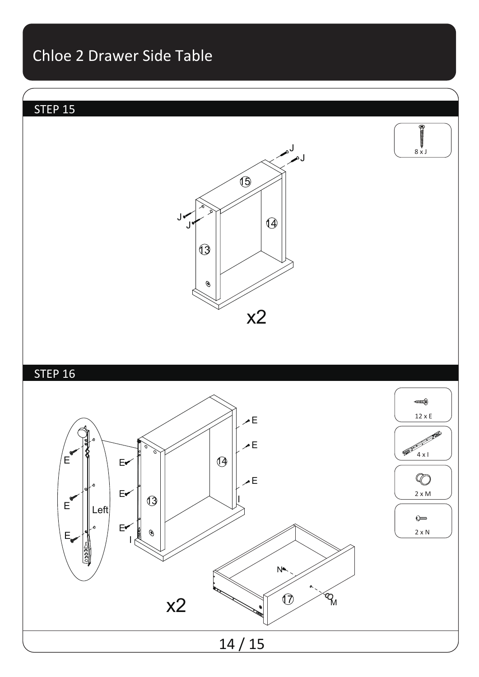## STEP 15





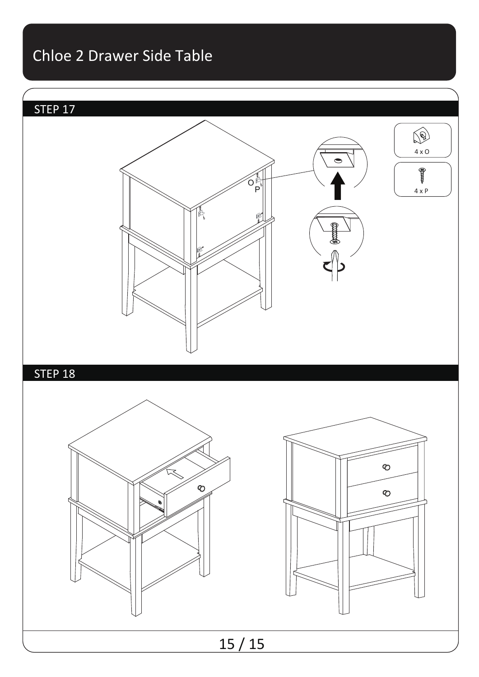## STEP 17



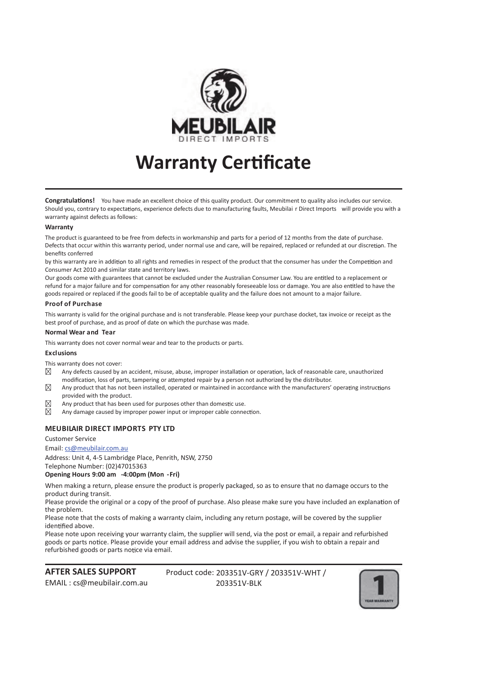

## **Warranty Certificate**

**Congratulations!** You have made an excellent choice of this quality product. Our commitment to quality also includes our service. Should you, contrary to expectations, experience defects due to manufacturing faults, Meubilai r Direct Imports will provide you with a warranty against defects as follows:

#### **Warranty**

The product is guaranteed to be free from defects in workmanship and parts for a period of 12 months from the date of purchase. Defects that occur within this warranty period, under normal use and care, will be repaired, replaced or refunded at our discretion. The benefits conferred

by this warranty are in addition to all rights and remedies in respect of the product that the consumer has under the Competition and Consumer Act 2010 and similar state and territory laws.

Our goods come with guarantees that cannot be excluded under the Australian Consumer Law. You are entitled to a replacement or refund for a major failure and for compensation for any other reasonably foreseeable loss or damage. You are also entitled to have the goods repaired or replaced if the goods fail to be of acceptable quality and the failure does not amount to a major failure.

#### **Proof of Purchase**

This warranty is valid for the original purchase and is not transferable. Please keep your purchase docket, tax invoice or receipt as the best proof of purchase, and as proof of date on which the purchase was made.

#### **Normal Wear and Tear**

This warranty does not cover normal wear and tear to the products or parts.

#### **Exclusions**

This warranty does not cover:

- ⊠ Any defects caused by an accident, misuse, abuse, improper installation or operation, lack of reasonable care, unauthorized modification, loss of parts, tampering or attempted repair by a person not authorized by the distributor.
- $\boxtimes$ Any product that has not been installed, operated or maintained in accordance with the manufacturers' operating instructions provided with the product.
- ⊠ Any product that has been used for purposes other than domestic use.
- $\nabla$ Any damage caused by improper power input or improper cable connection.

### **MEUBILAIR DIRECT IMPORTS PTY LTD**

Customer Service

#### Email: cs@meubilair.com.au

Address: Unit 4, 4-5 Lambridge Place, Penrith, NSW, 2750 Telephone Number: (02)47015363

**Opening Hours 9:00 am -4:00pm (Mon -Fri)** 

When making a return, please ensure the product is properly packaged, so as to ensure that no damage occurs to the product during transit.

Please provide the original or a copy of the proof of purchase. Also please make sure you have included an explanation of the problem.

Please note that the costs of making a warranty claim, including any return postage, will be covered by the supplier identified above.

Please note upon receiving your warranty claim, the supplier will send, via the post or email, a repair and refurbished goods or parts notice. Please provide your email address and advise the supplier, if you wish to obtain a repair and refurbished goods or parts notice via email.

Product code: 203351V-GRY / 203351V-WHT / 203351V-BLK